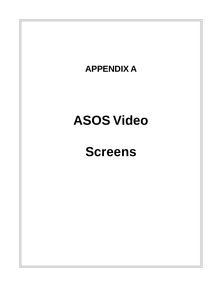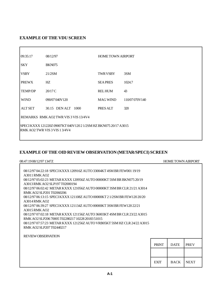### **EXAMPLE OF THE VDU SCREEN**

 $\overline{a}$ 

| 09:35:17                                                                                          | <b>HOME TOWN AIRPORT</b><br>08/12/97 |                 |                 |  |  |  |  |
|---------------------------------------------------------------------------------------------------|--------------------------------------|-----------------|-----------------|--|--|--|--|
| <b>SKY</b>                                                                                        | <b>BKN075</b>                        |                 |                 |  |  |  |  |
| <b>VSBY</b>                                                                                       | 21/2SM                               | TWR VSBY        | 3SM             |  |  |  |  |
| <b>PREWX</b>                                                                                      | HZ.                                  | <b>SEAPRES</b>  | 1024.7          |  |  |  |  |
| <b>TEMP/DP</b>                                                                                    | 20/17C                               | <b>RELHUM</b>   | 43              |  |  |  |  |
| <b>WIND</b>                                                                                       | 090/07040V120                        | <b>MAG WIND</b> | 110/07 070 V140 |  |  |  |  |
|                                                                                                   | ALT SET 30.15 DEN ALT 1000           | PRES ALT        | 320             |  |  |  |  |
|                                                                                                   | REMARKS RMK AO2 TWR VIS 3 VIS 13/4V4 |                 |                 |  |  |  |  |
| SPECI KXXX 121220Z 09007KT 040V120 2 1/2SM HZ BKN075 20/17 A3015<br>RMK AO2 TWR VIS 3 VIS 1 3/4V4 |                                      |                 |                 |  |  |  |  |

### **EXAMPLE OF THE OID REVIEW OBSERVATION (METAR/SPECI) SCREEN**

| 08:47:19 08/12/97 1347Z                                                                                                                                                                                                                                                                                                                                                                                                                                                                                                                                                                                                                                                                                                                                                                       |              | <b>HOME TOWN AIRPORT</b> |             |
|-----------------------------------------------------------------------------------------------------------------------------------------------------------------------------------------------------------------------------------------------------------------------------------------------------------------------------------------------------------------------------------------------------------------------------------------------------------------------------------------------------------------------------------------------------------------------------------------------------------------------------------------------------------------------------------------------------------------------------------------------------------------------------------------------|--------------|--------------------------|-------------|
| 08/12/97 04:22:18 SPECI KXXX 120916Z AUTO 33004KT 4SM BR FEW001 19/19<br>$A$ 3011 RMK $A$ O <sub>2</sub><br>08/12/97 05:02:23 METAR KXXX 120956Z AUTO 00000KT 5SM BR BKN075 20/19<br>A3013 RMK AO2 SLP197 T02000194<br>08/12/97 06:02:42 METAR KXXX 121056Z AUTO 00000KT 3SM BR CLR 21/21 A3014<br>RMK AO2 SLP201 T02060206<br>08/12/97 06:13:15 SPECI KXXX 121108Z AUTO 00000KT 2 1/2SM BR FEW 120 20/20<br>A3014 RMK AO2<br>08/12/97 06:39:27 SPECI KXXX 121134Z AUTO 00000KT 3SM BR FEW120 22/21<br>$A3015$ RMK $AO2$<br>08/12/97 07:02:18 METAR KXXX 121156Z AUTO 36003KT 4SM BR CLR 23/22 A3015<br>RMK AO2 SLP206 70005 T02280217 10228 20183 51015<br>08/12/97 07:57:23 METAR KXXX 121256Z AUTO VRB05KT 5SM HZ CLR 24/22 A3015<br>RMK AO2 SLP207 T02440217<br><b>REVIEW OBSERVATION</b> |              |                          |             |
|                                                                                                                                                                                                                                                                                                                                                                                                                                                                                                                                                                                                                                                                                                                                                                                               | <b>PRINT</b> | <b>DATE</b>              | <b>PREV</b> |
|                                                                                                                                                                                                                                                                                                                                                                                                                                                                                                                                                                                                                                                                                                                                                                                               |              |                          |             |
|                                                                                                                                                                                                                                                                                                                                                                                                                                                                                                                                                                                                                                                                                                                                                                                               | <b>EXIT</b>  | <b>BACK</b>              | <b>NEXT</b> |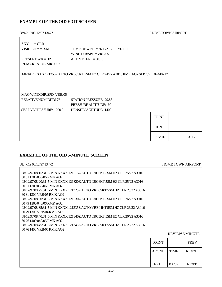### **EXAMPLE OF THE OID EDIT SCREEN**

08:47:19 08/12/97 1347Z HOME TOWN AIRPORT

| $=CLR$<br><b>SKY</b>           |                                                                                 |              |            |
|--------------------------------|---------------------------------------------------------------------------------|--------------|------------|
| $VISIBILITY = 5SM$             | TEMP/DEWPT = 26.1/21.7 C 79/71 F<br>WIND DIR/SPD = $VRB/05$                     |              |            |
| PRESENT $WX = HZ$              | $ALTIMETER = 30.16$                                                             |              |            |
| REMARKS = RMK AO2              |                                                                                 |              |            |
|                                |                                                                                 |              |            |
|                                | METAR KXXX 121256Z AUTO VRB05KT 5SM HZ CLR 24/22 A3015 RMK AO2 SLP207 T02440217 |              |            |
|                                |                                                                                 |              |            |
|                                |                                                                                 |              |            |
|                                |                                                                                 |              |            |
| MAG WIND DIR/SPD: VRB/05       |                                                                                 |              |            |
| RELATIVE HUMIDITY: 76          | <b>STATION PRESSURE: 29.85</b>                                                  |              |            |
|                                | <b>PRESSURE ALTITUDE: 60</b>                                                    |              |            |
| <b>SEALVL PRESSURE: 1020.9</b> | <b>DENSITY ALTITUDE: 1400</b>                                                   |              |            |
|                                |                                                                                 | <b>PRINT</b> |            |
|                                |                                                                                 |              |            |
|                                |                                                                                 | <b>SIGN</b>  |            |
|                                |                                                                                 | <b>REVUE</b> | <b>AUX</b> |

### **EXAMPLE OF THE OID 5-MINUTE SCREEN**

| 08:47:1908/12/97 1347Z                                                                                                                                                                                                                                                                                                                                                                                                                                                                                                                                                                                                                                                                                                                                      |              |                        | <b>HOME TOWN AIRPORT</b> |
|-------------------------------------------------------------------------------------------------------------------------------------------------------------------------------------------------------------------------------------------------------------------------------------------------------------------------------------------------------------------------------------------------------------------------------------------------------------------------------------------------------------------------------------------------------------------------------------------------------------------------------------------------------------------------------------------------------------------------------------------------------------|--------------|------------------------|--------------------------|
| 08/12/97 08:15:31 5-MIN KXXX 121315Z AUTO 02006KT 5SM HZ CLR 25/22 A3016<br>60 81 1300 030/06 RMK AO2<br>08/12/97 08:20:31 5-MIN KXXX 121320Z AUTO 02006KT 5SM HZ CLR 25/22 A3016<br>60 81 1300 030/06 RMK AO2<br>08/12/97 08:25:31 5-MIN KXXX 121325Z AUTO VRB05KT 5SM HZ CLR 25/22 A3016<br>60.81.1300 VRB/05 RMK AO2<br>08/12/97 08:30:31 5-MIN KXXX 121330Z AUTO 03006KT 5SM HZ CLR 26/22 A3016<br>60 79 1300 040/06 RMK AO2<br>08/12/97 08:35:31 5-MIN KXXX 121335Z AUTO VRB04KT 5SM HZ CLR 26/22 A3016<br>60.79.1300 VRB/04 RMK AO2<br>08/12/97 08:40:31 5-MIN KXXX 121340Z AUTO 03005KT 5SM HZ CLR 26/22 A3016<br>60 76 1400 040/05 RMK AO2<br>08/12/97 08:45:31 5-MIN KXXX 121345Z AUTO VRB05KT 5SM HZ CLR 26/22 A3016<br>60.76.1400 VRB/05 RMK AO2 |              |                        |                          |
|                                                                                                                                                                                                                                                                                                                                                                                                                                                                                                                                                                                                                                                                                                                                                             |              | <b>REVIEW 5 MINUTE</b> |                          |
|                                                                                                                                                                                                                                                                                                                                                                                                                                                                                                                                                                                                                                                                                                                                                             | <b>PRINT</b> |                        | <b>PREV</b>              |
|                                                                                                                                                                                                                                                                                                                                                                                                                                                                                                                                                                                                                                                                                                                                                             | ARC2H        | <b>TIME</b>            | REV2H                    |
|                                                                                                                                                                                                                                                                                                                                                                                                                                                                                                                                                                                                                                                                                                                                                             | <b>EXIT</b>  | <b>BACK</b>            | <b>NEXT</b>              |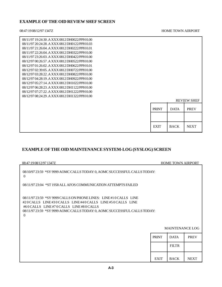### **EXAMPLE OF THE OID REVIEW SHEF SCREEN**

#### 08:47:19 08/12/97 1347Z HOME TOWN AIRPORT

| 08/11/97 19:24:30 .A XXX 0812 DH0022/PPH 0.00<br>08/11/97 20:24:28 .A XXX 0812 DH0122/PPH 0.03<br>08/11/97 21:26:04 .A XXX 0812 DH0222/PPH 0.01<br>08/11/97 22:26:04 .A XXX 0812 DH0322/PPH 0.00 |              |             |                    |
|--------------------------------------------------------------------------------------------------------------------------------------------------------------------------------------------------|--------------|-------------|--------------------|
| 08/11/97 23:26:03 .A XXX 0812 DH0422/PPH 0.00                                                                                                                                                    |              |             |                    |
| 08/12/97 00:26:57 .A XXX 0812 DH0522/PPH 0.00                                                                                                                                                    |              |             |                    |
| 08/12/97 01:26:02 .A XXX 0812 DH0622/PPH 0.01                                                                                                                                                    |              |             |                    |
| 08/12/97 02:39:05 .A XXX 0812 DH0722/PPH 0.00                                                                                                                                                    |              |             |                    |
| 08/12/97 03:28:22. A XXX 0812 DH0822/PPH 0.00                                                                                                                                                    |              |             |                    |
| 08/12/97 04:28:19 .A XXX 0812 DH0922/PPH 0.00                                                                                                                                                    |              |             |                    |
| 08/12/97 05:27:14 .A XXX 0812 DH1022/PPH 0.00                                                                                                                                                    |              |             |                    |
| 08/12/97 06:28:23 .A XXX 0812 DH1122/PPH 0.00                                                                                                                                                    |              |             |                    |
| 08/12/97 07:27:22 .A XXX 0812 DH1222/PPH 0.00                                                                                                                                                    |              |             |                    |
| 08/12/97 08:24:29 .A XXX 0812 DH1322/PPH 0.00                                                                                                                                                    |              |             |                    |
|                                                                                                                                                                                                  |              |             | <b>REVIEW SHEF</b> |
|                                                                                                                                                                                                  |              |             |                    |
|                                                                                                                                                                                                  | <b>PRINT</b> | <b>DATA</b> | <b>PREV</b>        |
|                                                                                                                                                                                                  |              |             |                    |
|                                                                                                                                                                                                  |              |             |                    |
|                                                                                                                                                                                                  | <b>EXIT</b>  | <b>BACK</b> | <b>NEXT</b>        |

### **EXAMPLE OF THE OID MAINTENANCE SYSTEM-LOG (SYSLOG) SCREEN**

| 08:47:19 08/12/97 1347Z                                                                                                                                                                                                                                           |              | <b>HOME TOWN AIRPORT</b> |             |
|-------------------------------------------------------------------------------------------------------------------------------------------------------------------------------------------------------------------------------------------------------------------|--------------|--------------------------|-------------|
| 08/10/97 23:59 *SY 9999 AOMC CALLS TODAY: 0, AOMC SUCCESSFUL CALLS TODAY:<br>$\Omega$                                                                                                                                                                             |              |                          |             |
| 08/11/97 23:04 *ST 1958 ALL AFOS COMMUNICATION ATTEMPTS FAILED                                                                                                                                                                                                    |              |                          |             |
| 08/11/97 23:59 *SY 9999 CALLS ON PHONE LINES: LINE #10 CALLS LINE<br>#20 CALLS LINE#30 CALLS LINE#40 CALLS LINE#50 CALLS LINE<br>#60 CALLS LINE #70 CALLS LINE #80 CALLS<br>08/11/97 23:59 *SY 9999 AOMC CALLS TODAY: 0, AOMC SUCCESSFUL CALLS TODAY:<br>$\Omega$ |              |                          |             |
|                                                                                                                                                                                                                                                                   |              | <b>MAINTENANCE LOG</b>   |             |
|                                                                                                                                                                                                                                                                   | <b>PRINT</b> | <b>DATA</b>              | <b>PREV</b> |
|                                                                                                                                                                                                                                                                   |              | <b>FILTR</b>             |             |
|                                                                                                                                                                                                                                                                   | <b>EXIT</b>  | <b>BACK</b>              | <b>NEXT</b> |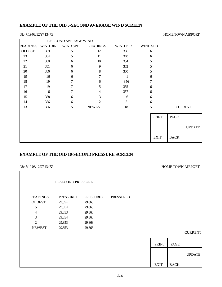### **EXAMPLE OF THE OID 5-SECOND AVERAGE WIND SCREEN**

#### 08:47:19 08/12/97 1347Z HOME TOWN AIRPORT

|                 |                 | 5-SECOND AVERAGE WIND |                 |          |                 |             |                |
|-----------------|-----------------|-----------------------|-----------------|----------|-----------------|-------------|----------------|
| <b>READINGS</b> | <b>WIND DIR</b> | WIND SPD              | <b>READINGS</b> | WIND DIR | <b>WIND SPD</b> |             |                |
| <b>OLDEST</b>   | 359             | 5                     | 12              | 356      | 6               |             |                |
| 23              | 354             | 5                     | 11              | 340      | 6               |             |                |
| 22              | 350             | 6                     | 10              | 354      | 5               |             |                |
| 21              | 351             | 6                     | 9               | 352      | 5               |             |                |
| 20              | 356             | 6                     | 8               | 360      | 5               |             |                |
| 19              | 16              | 6                     | 7               | 1        | 6               |             |                |
| 18              | 19              | 7                     | 6               | 356      | 7               |             |                |
| 17              | 19              | 7                     | 5               | 355      | 6               |             |                |
| 16              | 6               | 7                     |                 | 357      | 6               |             |                |
| 15              | 358             | 6                     | 3               | 6        | 6               |             |                |
| 14              | 356             | 6                     | $\mathfrak{D}$  | 3        | 6               |             |                |
| 13              | 356             | 5                     | <b>NEWEST</b>   | 18       | 5               |             | <b>CURRENT</b> |
|                 |                 |                       |                 |          | <b>PRINT</b>    | PAGE        |                |
|                 |                 |                       |                 |          |                 |             | <b>UPDATE</b>  |
|                 |                 |                       |                 |          | <b>EXIT</b>     | <b>BACK</b> |                |

### **EXAMPLE OF THE OID 10-SECOND PRESSURE SCREEN**

#### HOME TOWN AIRPORT

|                                                                                    | 10-SECOND PRESSURE                                                     |                                                                                   |           |              |             |                |
|------------------------------------------------------------------------------------|------------------------------------------------------------------------|-----------------------------------------------------------------------------------|-----------|--------------|-------------|----------------|
| <b>READINGS</b><br><b>OLDEST</b><br>5<br>4<br>3<br>$\overline{2}$<br><b>NEWEST</b> | PRESSURE 1<br>29.854<br>29.854<br>29.853<br>29.854<br>29.853<br>29.853 | PRESSURE <sub>2</sub><br>29.863<br>29.863<br>29.863<br>29.863<br>29.863<br>29.863 | PRESSURE3 |              |             |                |
|                                                                                    |                                                                        |                                                                                   |           |              |             | <b>CURRENT</b> |
|                                                                                    |                                                                        |                                                                                   |           | <b>PRINT</b> | PAGE        |                |
|                                                                                    |                                                                        |                                                                                   |           |              |             | <b>UPDATE</b>  |
|                                                                                    |                                                                        |                                                                                   |           | <b>EXIT</b>  | <b>BACK</b> |                |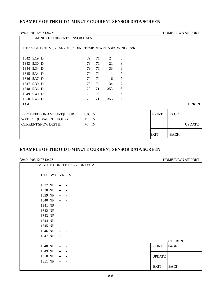### **EXAMPLE OF THE OID 1-MINUTE CURRENT SENSOR DATA SCREEN**

| 08:47:1908/12/97 1347Z                                     |           |    |     |   |              | <b>HOME TOWN AIRPORT</b> |                |
|------------------------------------------------------------|-----------|----|-----|---|--------------|--------------------------|----------------|
| 1-MINUTE CURRENT SENSOR DATA                               |           |    |     |   |              |                          |                |
| UTC VIS1 D/N1 VIS2 D/N2 VIS3 D/N3 TEMP DEWPT 5SEC WIND RVR |           |    |     |   |              |                          |                |
| 1342 5.19 D                                                | 79        | 71 | 24  | 8 |              |                          |                |
| 1343 5.30 D                                                | 79        | 71 | 21  | 8 |              |                          |                |
| 1344 5.34 D                                                | 79        | 71 | 33  | 6 |              |                          |                |
| 1345 5.34 D                                                | 79        | 71 | 11  | 7 |              |                          |                |
| 1346 5.37 D                                                | 79        | 71 | 16  | 7 |              |                          |                |
| 1347 5.39 D                                                | 79        | 71 | 34  | 7 |              |                          |                |
| 1348 5.36 D                                                | 79        | 71 | 353 | 6 |              |                          |                |
| 1349 5.40 D                                                | 79        | 71 | 6   | 7 |              |                          |                |
| 1350 5.45 D                                                | 79        | 71 | 356 | 7 |              |                          |                |
| 1351                                                       |           |    |     |   |              |                          | <b>CURRENT</b> |
| PRECIPITATION AMOUNT (HOUR):                               | $0.00$ IN |    |     |   | <b>PRINT</b> | <b>PAGE</b>              |                |
| WATER EQUIVALENT (HOUR):                                   | M IN      |    |     |   |              |                          |                |
| <b>CURRENT SNOW DEPTH:</b>                                 | M         | IN |     |   |              |                          | <b>UPDATE</b>  |
|                                                            |           |    |     |   | EXIT         | <b>BACK</b>              |                |

### **EXAMPLE OF THE OID 1-MINUTE CURRENT SENSOR DATA SCREEN**

| 08:47:1908/12/97 1347Z       |               | HOME TOWN AIRPORT |  |
|------------------------------|---------------|-------------------|--|
| 1-MINUTE CURRENT SENSOR DATA |               |                   |  |
| UTC WX ZR TS                 |               |                   |  |
|                              |               |                   |  |
| 1337 NP<br>$\sim$            |               |                   |  |
| 1338 NP<br>$\sim$            |               |                   |  |
| 1339 NP<br>$\sim$            |               |                   |  |
| 1340 NP<br>$\sim$ $\sim$     |               |                   |  |
| 1341 NP<br>$\sim$            |               |                   |  |
| 1342 NP<br>$\sim$ $\sim$     |               |                   |  |
| 1343 NP<br>$\sim$ $\sim$     |               |                   |  |
| 1344 NP<br>$\sim$            |               |                   |  |
| 1345 NP<br>$\sim$            |               |                   |  |
| 1346 NP<br>$\sim$            |               |                   |  |
| 1347 NP<br>$\sim$            |               |                   |  |
|                              |               | <b>CURRENT</b>    |  |
| 1348 NP<br>$\rightarrow$     | <b>PRINT</b>  | <b>PAGE</b>       |  |
| 1349 NP<br>$\sim$ $-$        |               |                   |  |
| 1350 NP<br>$\mathbf{u}$      | <b>UPDATE</b> |                   |  |
| 1351 NP<br>$\sim$ $\sim$     |               |                   |  |
|                              | <b>EXIT</b>   | <b>BACK</b>       |  |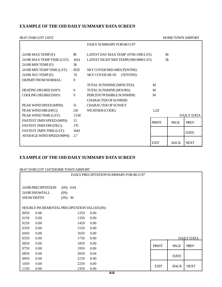### **EXAMPLE OF THE OID DAILY SUMMARY DATA SCREEN**

| 08:47:1908/12/97 1347Z      |              |                                       |              | <b>HOME TOWN AIRPORT</b> |                   |
|-----------------------------|--------------|---------------------------------------|--------------|--------------------------|-------------------|
|                             |              | DAILY SUMMARY FOR 08/11/97            |              |                          |                   |
| 24 HR MAX TEMP (F):         | 90           | LATEST DAY MAX TEMP (0700-1900 LST):  |              | 90                       |                   |
| 24 HR MAX TEMP TIME (LST):  | 1614         | LATEST NIGHT MIN TEMP(1900-0800 LST): |              | 58                       |                   |
| 24 HR MIN TEMP (F):         | 58           |                                       |              |                          |                   |
| 24 HR MIN TEMP TIME (LST):  | 0535         | <b>SKY COVER MID-MID (TENTHS):</b>    |              |                          |                   |
| 24 HR AVG TEMP (F):         | 74           | SKY COVER SR-SS (TENTHS):             |              |                          |                   |
| DEPART FROM NORMAL:         | $\Omega$     |                                       |              |                          |                   |
|                             |              | TOTAL SUNSHINE (MINUTES):             | M            |                          |                   |
| <b>HEATING DEGREE DAYS:</b> | $\mathbf{0}$ | TOTAL SUNSHINE (HOURS):               | M            |                          |                   |
| COOLING DEGREE DAYS:        | 9            | PERCENT POSSIBLE SUNSHINE:            | M            |                          |                   |
|                             |              | <b>CHARACTER OF SUNRISE:</b>          |              |                          |                   |
| PEAK WIND SPEED (MPH):      | 15           | <b>CHARACTER OF SUNSET:</b>           |              |                          |                   |
| PEAK WIND DIR (DEG):        | 210          | WEATHER (CODE):                       | 1,2,8        |                          |                   |
| PEAK WIND TIME (LST):       | 1558         |                                       |              |                          | <b>DAILY DATA</b> |
| FASTEST 2MIN SPEED (MPH):   | 13           |                                       | <b>PRINT</b> | PAGE                     | <b>PREV</b>       |
| FASTEST 2MIN DIR (DEG):     | 170          |                                       |              |                          |                   |
| FASTEST 2MIN TIME (LST):    | 1643         |                                       |              |                          | <b>DATE</b>       |
| AVERAGE WIND SPEED (MPH):   | 2.7          |                                       |              |                          |                   |
|                             |              |                                       | <b>EXIT</b>  | <b>BACK</b>              | <b>NEXT</b>       |

### **EXAMPLE OF THE OID DAILY SUMMARY DATA SCREEN**

| 08:47:19 08/12/97 1347ZHOME TOWN AIRPORT      |                     |                                          |              |             |                   |  |
|-----------------------------------------------|---------------------|------------------------------------------|--------------|-------------|-------------------|--|
|                                               |                     | DAILY PRECIPITATION SUMMARY FOR 08/11/97 |              |             |                   |  |
|                                               |                     |                                          |              |             |                   |  |
|                                               |                     |                                          |              |             |                   |  |
| 24 HR PRECIPITATION                           | (IN): $0.04$        |                                          |              |             |                   |  |
| 24 HR SNOWFALL                                | $(M)$ :             |                                          |              |             |                   |  |
| <b>SNOW DEPTH</b>                             | $(\mathbf{IN})$ : M |                                          |              |             |                   |  |
|                                               |                     |                                          |              |             |                   |  |
| HOURLY INCREMENTAL PRECIPITATION VALUES (IN): |                     |                                          |              |             |                   |  |
| 0059<br>$0.00\,$                              | 1259                | 0.00                                     |              |             |                   |  |
| 0159<br>0.00                                  | 1359                | 0.00                                     |              |             |                   |  |
| 0259<br>$0.00\,$                              | 1459                | 0.00                                     |              |             |                   |  |
| 0359<br>$0.00\,$                              | 1559                | 0.00                                     |              |             |                   |  |
| 0459<br>$0.00\,$                              | 1659                | 0.00                                     |              |             |                   |  |
| 0559<br>0.00                                  | 1759                | 0.00                                     |              |             | <b>DAJLY DATA</b> |  |
| 0659<br>$0.00\,$                              | 1859                | 0.00                                     |              |             |                   |  |
| 0759<br>$0.00\,$                              | 1959                | 0.00                                     | <b>PRINT</b> | PAGE        | <b>PREV</b>       |  |
| 0859<br>$0.00\,$                              | 2059                | 0.04                                     |              |             |                   |  |
| 0959<br>$0.00\,$                              | 2159                | 0.00                                     |              | <b>DATE</b> |                   |  |
| 1059<br>0.00                                  | 2259                | 0.00                                     |              |             |                   |  |
| 1159<br>0.00                                  | 2359                | 0.00                                     | <b>EXIT</b>  | <b>BACK</b> | <b>NEXT</b>       |  |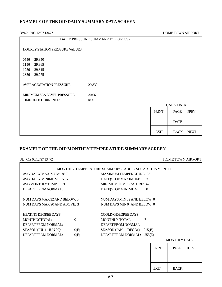#### **EXAMPLE OF THE OID DAILY SUMMARY DATA SCREEN**

08:47:19 08/12/97 1347Z HOME TOWN AIRPORT

|                                 | DAILY PRESSURE SUMMARY FOR 08/11/97 |              |                   |             |
|---------------------------------|-------------------------------------|--------------|-------------------|-------------|
| HOURLY STATION PRESSURE VALUES: |                                     |              |                   |             |
| 29.850<br>0556                  |                                     |              |                   |             |
| 29.865<br>1156                  |                                     |              |                   |             |
| 1756<br>29.815                  |                                     |              |                   |             |
| 2356<br>29.775                  |                                     |              |                   |             |
|                                 |                                     |              |                   |             |
| AVERAGE STATION PRESSURE:       | 29.830                              |              |                   |             |
|                                 |                                     |              |                   |             |
| MINIMUM SEA LEVEL PRESSURE:     | 30.06                               |              |                   |             |
| TIME OF OCCURRENCE:             | 1839                                |              |                   |             |
|                                 |                                     |              | <b>DAILY DATA</b> |             |
|                                 |                                     | <b>PRINT</b> | PAGE              | <b>PREV</b> |
|                                 |                                     |              |                   |             |
|                                 |                                     |              | <b>DATE</b>       |             |
|                                 |                                     |              |                   |             |
|                                 |                                     |              |                   |             |
|                                 |                                     | <b>EXIT</b>  | <b>BACK</b>       | <b>NEXT</b> |

### **EXAMPLE OF THE OID MONTHLY TEMPERATURE SUMMARY SCREEN**

| 08:47:1908/12/97 1347Z           |                                                       |              | <b>HOME TOWN AIRPORT</b> |             |  |
|----------------------------------|-------------------------------------------------------|--------------|--------------------------|-------------|--|
|                                  | MONTHLY TEMPERATURE SUMMARY - AUG97 SO FAR THIS MONTH |              |                          |             |  |
| AVG DAILY MAXIMUM: 86.7          | <b>MAXIMUM TEMPERATURE: 93</b>                        |              |                          |             |  |
| AVG DAILY MINIMUM: 55.5          | DATE(S) OF MAXIMUM:<br>$\mathcal{E}$                  |              |                          |             |  |
| AVG MONTHLY TEMP:<br>71.1        | MINIMUM TEMPER ATURE: 47                              |              |                          |             |  |
| DEPART FROM NORMAL:              | DATE(S) OF MINIMUM:<br>8                              |              |                          |             |  |
| NUM DAYS MAX 32 AND BELOW: 0     | NUM DAYS MIN 32 AND BELOW: 0                          |              |                          |             |  |
| NUM DAYS MAX 90 AND ABOVE: 3     | NUM DAYS MINO AND BELOW: 0                            |              |                          |             |  |
| <b>HEATING DEGREE DAYS</b>       | COOLING DEGREE DAYS                                   |              |                          |             |  |
| MONTHLY TOTAL:<br>$\Omega$       | <b>MONTHLY TOTAL:</b><br>71                           |              |                          |             |  |
| DEPART FROM NORMAL:              | DEPART FROM NORMAL:                                   |              |                          |             |  |
| SEASON (JUL 1 - JUN 30):<br>O(E) | SEASON (JAN 1 - DEC 31): $215(E)$                     |              |                          |             |  |
| DEPART FROM NORMAL:<br>O(E)      | DEPART FROM NORMAL: -255(E)                           |              |                          |             |  |
|                                  |                                                       |              | <b>MONTHLY DATA</b>      |             |  |
|                                  |                                                       | <b>PRINT</b> | PAGE                     | <b>JULY</b> |  |
|                                  |                                                       |              |                          |             |  |
|                                  |                                                       | <b>EXIT</b>  | <b>BACK</b>              |             |  |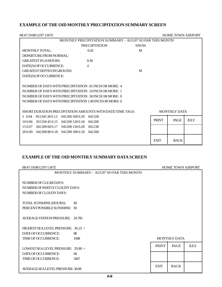### **EXAMPLE OF THE OID MONTHLY PRECIPITATION SUMMARY SCREEN**

| <b>HOME TOWN AIRPORT</b><br>08:47:1908/12/97 1347Z        |                      |             |              |                     |             |  |
|-----------------------------------------------------------|----------------------|-------------|--------------|---------------------|-------------|--|
| MONTHLY PRECIPITATION SUMMARY - AUG97 SO FAR THIS MONTH   |                      |             |              |                     |             |  |
|                                                           | <b>PRECIPITATION</b> | <b>SNOW</b> |              |                     |             |  |
| MONTHLY TOTAL:                                            | 0.42                 | M           |              |                     |             |  |
| DEPARTURE FROM NORMAL:                                    |                      |             |              |                     |             |  |
| <b>GREATEST IN 24 HOURS:</b>                              | 0.30                 |             |              |                     |             |  |
| DATE(S) OF OCCURRENCE:                                    | $\overline{4}$       |             |              |                     |             |  |
| <b>GREATEST DEPTH ON GROUND:</b>                          |                      | M           |              |                     |             |  |
| DATE(S) OF OCCURRENCE:                                    |                      |             |              |                     |             |  |
|                                                           |                      |             |              |                     |             |  |
| NUMBER OF DAYS WITH PRECIPITATION .01 INCH OR MORE: 4     |                      |             |              |                     |             |  |
| NUMBER OF DAYS WITH PRECIPITATION .10 INCH OR MORE: 1     |                      |             |              |                     |             |  |
| NUMBER OF DAYS WITH PRECIPITATION .50 INCH OR MORE: 0     |                      |             |              |                     |             |  |
| NUMBER OF DAYS WITH PRECIPITATION 1.00 INCH OR MORE: 0    |                      |             |              |                     |             |  |
|                                                           |                      |             |              |                     |             |  |
| SHORT DURATION PRECIPITATION AMOUNTS WITH DATE/TIME TAGS: |                      |             |              | <b>MONTHLY DATA</b> |             |  |
| 041200 100 0.20<br>5 0.04<br>051345300.13                 | 041320               |             |              |                     |             |  |
| 10 0.06 051350 45 0.15 041200 120 0.18 041200             |                      |             | <b>PRINT</b> | PAGE                | <b>JULY</b> |  |
| 15 0.07 041200 60 0.17 041200 150 0.28 041230             |                      |             |              |                     |             |  |
| 20 0.09 041200 80 0.18 041200 180 0.18                    | 041200               |             |              |                     |             |  |
|                                                           |                      |             |              |                     |             |  |
|                                                           |                      |             | <b>EXIT</b>  | <b>BACK</b>         |             |  |

### **EXAMPLE OF THE OID MONTHLY SUMMARY DATA SCREEN**

| MONTHLY SUMMARY - AUG97 SO FAR THIS MONTH<br>NUMBER OF CLEAR DAYS:<br>NUMBER OF PARTLY CLOUDY DAYS:<br>NUMBER OF CLOUDY DAYS:<br>TOTAL SUNSHINE (HOURS):<br>M<br>PERCENT POSSIBLE SUNSHINE: M<br>AVERAGE STATION PRESSURE: 29.785<br>$HIGHEST SEA LEVEL PRESSURE: 30.25 +$<br>DATE OF OCCURRENCE:<br>$\Omega$<br>TIME OF OCCURRENCE:<br><b>MONTHLY DATA</b><br>1048<br><b>JULY</b><br><b>PRINT</b><br>PAGE<br>LOWEST SEALEVEL PRESSURE: 29.80 +<br>DATE OF OCCURRENCE:<br>$\alpha$<br><b>TIME OF OCCURRENCE:</b><br>1847 | 08:47:19 08/12/97 1347Z |             | <b>HOME TOWN AIRPORT</b> |  |
|--------------------------------------------------------------------------------------------------------------------------------------------------------------------------------------------------------------------------------------------------------------------------------------------------------------------------------------------------------------------------------------------------------------------------------------------------------------------------------------------------------------------------|-------------------------|-------------|--------------------------|--|
|                                                                                                                                                                                                                                                                                                                                                                                                                                                                                                                          |                         |             |                          |  |
|                                                                                                                                                                                                                                                                                                                                                                                                                                                                                                                          |                         |             |                          |  |
|                                                                                                                                                                                                                                                                                                                                                                                                                                                                                                                          |                         |             |                          |  |
|                                                                                                                                                                                                                                                                                                                                                                                                                                                                                                                          |                         |             |                          |  |
|                                                                                                                                                                                                                                                                                                                                                                                                                                                                                                                          |                         |             |                          |  |
|                                                                                                                                                                                                                                                                                                                                                                                                                                                                                                                          |                         |             |                          |  |
|                                                                                                                                                                                                                                                                                                                                                                                                                                                                                                                          |                         |             |                          |  |
|                                                                                                                                                                                                                                                                                                                                                                                                                                                                                                                          |                         |             |                          |  |
|                                                                                                                                                                                                                                                                                                                                                                                                                                                                                                                          |                         |             |                          |  |
|                                                                                                                                                                                                                                                                                                                                                                                                                                                                                                                          |                         |             |                          |  |
|                                                                                                                                                                                                                                                                                                                                                                                                                                                                                                                          |                         |             |                          |  |
|                                                                                                                                                                                                                                                                                                                                                                                                                                                                                                                          |                         |             |                          |  |
|                                                                                                                                                                                                                                                                                                                                                                                                                                                                                                                          |                         |             |                          |  |
|                                                                                                                                                                                                                                                                                                                                                                                                                                                                                                                          |                         |             |                          |  |
|                                                                                                                                                                                                                                                                                                                                                                                                                                                                                                                          |                         |             |                          |  |
|                                                                                                                                                                                                                                                                                                                                                                                                                                                                                                                          |                         |             |                          |  |
|                                                                                                                                                                                                                                                                                                                                                                                                                                                                                                                          |                         |             |                          |  |
|                                                                                                                                                                                                                                                                                                                                                                                                                                                                                                                          |                         |             |                          |  |
|                                                                                                                                                                                                                                                                                                                                                                                                                                                                                                                          |                         | <b>EXIT</b> | <b>BACK</b>              |  |
| AVERAGE SEA LEVEL PRESSURE: 30.08                                                                                                                                                                                                                                                                                                                                                                                                                                                                                        |                         |             |                          |  |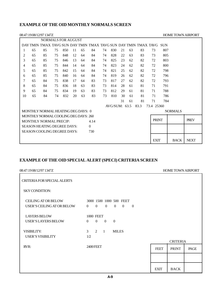### **EXAMPLE OF THE OID MONTHLY NORMALS SCREEN**

|    |    | 08:47:19 08/12/97 1347Z                                              |    |     |    |    |          |    |               |    |    |      |              |     | <b>HOME TOWN AIRPORT</b> |             |
|----|----|----------------------------------------------------------------------|----|-----|----|----|----------|----|---------------|----|----|------|--------------|-----|--------------------------|-------------|
|    |    | <b>NORMALS FOR AUGUST</b>                                            |    |     |    |    |          |    |               |    |    |      |              |     |                          |             |
|    |    | DAY TMIN TMAX TAVG SUN DAY TMIN TMAX TAVG SUN DAY TMIN TMAX TAVG SUN |    |     |    |    |          |    |               |    |    |      |              |     |                          |             |
| 1  | 65 | 85                                                                   | 75 | 850 | 11 | 65 | 84       | 74 | 830           | 21 | 63 | 83   | 73           | 807 |                          |             |
| 2  | 65 | 85                                                                   | 75 | 848 | 12 | 64 | 84       | 74 | 828           | 22 | 63 | 83   | 73           | 805 |                          |             |
| 3  | 65 | 85                                                                   | 75 | 846 | 13 | 64 | 84       | 74 | 825           | 23 | 62 | 82   | 72           | 803 |                          |             |
| 4  | 65 | 85                                                                   | 75 | 844 | 14 | 64 | 84       | 74 | 823           | 24 | 62 | 82   | 72           | 800 |                          |             |
| 5  | 65 | 85                                                                   | 75 | 842 | 15 | 64 | 84       | 74 | 821           | 25 | 62 | 82   | 72           | 798 |                          |             |
| 6  | 65 | 85                                                                   | 75 | 840 | 16 | 64 | 84       | 74 | 819           | 26 | 62 | 82   | 72           | 796 |                          |             |
| 7  | 65 | 84                                                                   | 75 | 838 | 17 | 64 | 83       | 73 | 817           | 27 | 62 | 82   | 72           | 793 |                          |             |
| 8  | 65 | 84                                                                   | 75 | 836 | 18 | 63 | 83       | 73 | 814           | 28 | 61 | 81   | 71           | 791 |                          |             |
| 9  | 65 | 84                                                                   | 75 | 834 | 19 | 63 | 83       | 73 | 812           | 29 | 61 | 81   | 71           | 788 |                          |             |
| 10 | 65 | 84                                                                   | 74 | 832 | 20 | 63 | 83       | 73 | 810           | 30 | 61 | 81   | 71           | 786 |                          |             |
|    |    |                                                                      |    |     |    |    |          |    |               | 31 | 61 | 81   | 71           | 784 |                          |             |
|    |    |                                                                      |    |     |    |    |          |    | AVG/SUM: 63.5 |    |    | 83.3 | 73.4 25360   |     |                          |             |
|    |    | MONTHLY NORMAL HEATING DEG DAYS: 0                                   |    |     |    |    |          |    |               |    |    |      |              |     | <b>NORMALS</b>           |             |
|    |    | MONTHLY NORMAL COOLING DEG DAYS: 260                                 |    |     |    |    |          |    |               |    |    |      |              |     |                          |             |
|    |    | MONTHLY NORMAL PRECIP:                                               |    |     |    |    | 4.14     |    |               |    |    |      | <b>PRINT</b> |     |                          | <b>PREV</b> |
|    |    | <b>SEASON HEATING DEGREE DAYS:</b>                                   |    |     |    |    | $\Omega$ |    |               |    |    |      |              |     |                          |             |
|    |    | SEASON COOLING DEGREE DAYS:                                          |    |     |    |    | 730      |    |               |    |    |      |              |     |                          |             |
|    |    |                                                                      |    |     |    |    |          |    |               |    |    |      |              |     |                          |             |
|    |    |                                                                      |    |     |    |    |          |    |               |    |    |      | <b>EXIT</b>  |     | <b>BACK</b>              | <b>NEXT</b> |

### **EXAMPLE OF THE OID SPECIAL ALERT (SPECI) CRITERIA SCREEN**

| 08:47:1908/12/97 1347Z                                   |                                                                                                                       |             | <b>HOME TOWN AIRPORT</b> |      |
|----------------------------------------------------------|-----------------------------------------------------------------------------------------------------------------------|-------------|--------------------------|------|
| <b>CRITERIA FOR SPECIAL ALERTS</b>                       |                                                                                                                       |             |                          |      |
| <b>SKY CONDITION:</b>                                    |                                                                                                                       |             |                          |      |
| <b>CEILING AT OR BELOW</b><br>USER'S CEILING AT OR BELOW | 3000 1500 1000 500 FEET<br>$\theta$<br>$\overline{0}$<br>$\overline{0}$<br>$\overline{0}$<br>$\mathbf{0}$<br>$\theta$ |             |                          |      |
| <b>LAYERS BELOW</b><br><b>USER'S LAYERS BELOW</b>        | <b>1000 FEET</b><br>$\theta$<br>$\theta$<br>$\Omega$<br>$\theta$                                                      |             |                          |      |
| <b>VISIBILITY:</b><br><b>USER'S VISIBILITY</b>           | 3 <sup>7</sup><br>2<br>$\overline{1}$<br><b>MILES</b><br>1/2                                                          |             | <b>CRITERIA</b>          |      |
| RVR:                                                     | 2400 FEET                                                                                                             | <b>FEET</b> | <b>PRINT</b>             | PAGE |
|                                                          |                                                                                                                       |             |                          |      |
|                                                          |                                                                                                                       | <b>EXIT</b> | <b>BACK</b>              |      |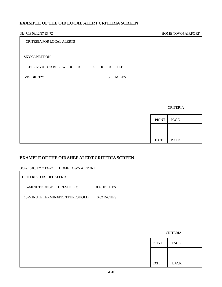### **EXAMPLE OF THE OID LOCAL ALERT CRITERIA SCREEN**

| 08:47:1908/12/97 1347Z                        |              | HOME TOWN AIRPORT |  |
|-----------------------------------------------|--------------|-------------------|--|
| CRITERIA FOR LOCAL ALERTS                     |              |                   |  |
| <b>SKY CONDITION:</b>                         |              |                   |  |
| CEILING AT OR BELOW 0 0 0 0 0 0 FEET          |              |                   |  |
| VISIBILITY:<br>5 <sup>5</sup><br><b>MILES</b> |              |                   |  |
|                                               |              |                   |  |
|                                               |              |                   |  |
|                                               |              | <b>CRITERIA</b>   |  |
|                                               | <b>PRINT</b> | PAGE              |  |
|                                               |              |                   |  |
|                                               | <b>EXIT</b>  | <b>BACK</b>       |  |

### **EXAMPLE OF THE OID SHEF ALERT CRITERIA SCREEN**

| 08:47:19 08/12/97 1347Z HOME TOWN AIRPORT |             |              |                 |  |
|-------------------------------------------|-------------|--------------|-----------------|--|
| CRITERIA FOR SHEF ALERTS                  |             |              |                 |  |
| 15-MINUTE ONSET THRESHOLD:                | 0.40 INCHES |              |                 |  |
| <b>15-MINUTE TERMINATION THRESHOLD:</b>   | 0.02 INCHES |              |                 |  |
|                                           |             |              |                 |  |
|                                           |             |              |                 |  |
|                                           |             |              | <b>CRITERIA</b> |  |
|                                           |             | <b>PRINT</b> | PAGE            |  |
|                                           |             |              |                 |  |
|                                           |             | <b>EXIT</b>  | <b>BACK</b>     |  |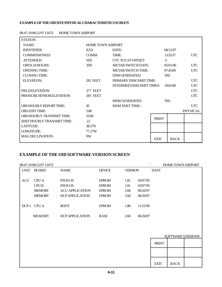#### **EXAMPLE OF THE OID SITE PHYSICAL CHARACTERISTICS SCREEN**

| <b>STATION</b>                 |                          |                                 |              |             |                 |
|--------------------------------|--------------------------|---------------------------------|--------------|-------------|-----------------|
| NAME:                          | <b>HOME TOWN AIRPORT</b> |                                 |              |             |                 |
| <b>IDENTIFIER:</b>             | <b>XXX</b>               | DATE:                           |              | 08/12/97    |                 |
| <b>COMMISSIONED:</b>           | <b>COMM</b>              | TIME:                           |              | 13:55:57    | <b>UTC</b>      |
| <b>ATTENDED:</b>               | <b>YES</b>               | UTC TO LST OFFSET:              | $-5$         |             |                 |
| <b>OPEN 24 HOURS:</b>          | <b>YES</b>               | <b>METAR SWITCH DATE:</b>       |              | 05/01/96    | <b>UTC</b>      |
| <b>OPENING TIME:</b>           |                          | <b>METAR SWITCH TIME:</b>       |              | 07:45:00    | <b>UTC</b>      |
| <b>CLOSING TIME:</b>           |                          | <b>DSM GENERATED:</b>           |              | <b>YES</b>  |                 |
| <b>ELEVATION:</b>              | <b>281 FEET</b>          | PRIMARY DSM XMIT TIME:          |              |             | <b>UTC</b>      |
|                                |                          | <b>INTERMED DSM XMIT TIMES:</b> |              | 19:01:00    | <b>UTC</b>      |
| <b>FIELD ELEVATION:</b>        | 277 FEET                 |                                 |              |             | <b>UTC</b>      |
| PRESSURE SENSOR ELEVATION:     | <b>283 FEET</b>          |                                 |              |             | <b>UTC</b>      |
|                                |                          | <b>MSM GENERATED:</b>           |              | <b>YES</b>  |                 |
| <b>OBS HOURLY REPORT TIME:</b> | 50                       | <b>MSM XMIT TIME:</b>           |              |             | <b>UTC</b>      |
| <b>OBS EDIT TIME:</b>          | 5:00                     |                                 |              |             | <b>PHYSICAL</b> |
| OBS HOURLY TRANSMIT TIME:      | 55:00                    |                                 | <b>PRINT</b> |             |                 |
| SHEF HOURLY TRANSMIT TIME:     | 22                       |                                 |              |             |                 |
| <b>LATITUDE:</b>               | 38.57N                   |                                 |              |             |                 |
| LONGITUDE:                     | 77.27W                   |                                 |              |             |                 |
| <b>MAGDECLINATION:</b>         | 9W                       |                                 | <b>EXIT</b>  | <b>BACK</b> |                 |

#### 08:47:19 08/12/97 1347Z HOME TOWN AIRPORT

### **EXAMPLE OF THE OID SOFTWARE VERSION SCREEN**

|             | 08:47:19 08/12/97 1347Z |                        |               |                |          | $\overline{\phantom{0}}$ | <b>HOME TOWN AIRPORT</b> |
|-------------|-------------------------|------------------------|---------------|----------------|----------|--------------------------|--------------------------|
| <b>UNIT</b> | <b>BOARD</b>            | <b>NAME</b>            | <b>DEVICE</b> | <b>VERSION</b> |          | <b>DATE</b>              |                          |
|             |                         |                        |               |                |          |                          |                          |
| <b>ACU</b>  | <b>CPUA</b>             | PSOS OS                | <b>EPROM</b>  | 1.81           | 03/07/95 |                          |                          |
|             | <b>CPUB</b>             | PSOS OS                | <b>EPROM</b>  | 1.81           | 03/07/95 |                          |                          |
|             | <b>MEMORY</b>           | <b>ACU APPLICATION</b> | <b>EPROM</b>  | 2.60           | 06/26/97 |                          |                          |
|             | <b>MEMORY</b>           | DCP APPLICATION        | <b>EPROM</b>  | 2.60           | 06/26/97 |                          |                          |
|             |                         |                        |               |                |          |                          |                          |
| DCP-1       | <b>CPU A</b>            | <b>BOOT</b>            | <b>EPROM</b>  | 1.80           | 11/22/96 |                          |                          |
|             |                         |                        |               |                |          |                          |                          |
|             | <b>MEMORY</b>           | <b>DCP APPLICATION</b> | <b>RAM</b>    | 2.60           | 06/26/97 |                          |                          |
|             |                         |                        |               |                |          |                          |                          |

|              | SOFTWARE VERSIONS |  |
|--------------|-------------------|--|
| <b>PRINT</b> |                   |  |
|              |                   |  |
| <b>EXIT</b>  | <b>BACK</b>       |  |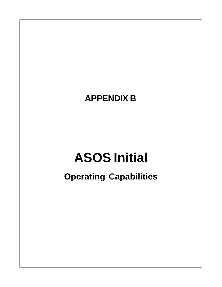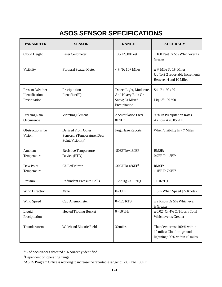# **ASOS SENSOR SPECIFICATIONS**

| <b>PARAMETER</b>                                   | <b>SENSOR</b>                                                          | <b>RANGE</b>                                                                    | <b>ACCURACY</b>                                                                                |  |
|----------------------------------------------------|------------------------------------------------------------------------|---------------------------------------------------------------------------------|------------------------------------------------------------------------------------------------|--|
| Cloud Height                                       | Laser Ceilometer                                                       | 100-12,000 Feet                                                                 | $\pm$ 100 Feet Or 5% Whichever Is<br>Greater                                                   |  |
| Visibility                                         | <b>Forward Scatter Meter</b>                                           | $<$ 1/4 To 10+ Miles                                                            | $\pm$ 1/4 Mile To 11/4 Miles;<br>Up To $\pm$ 2 reportable Increments<br>Between 4 and 10 Miles |  |
| Present Weather<br>Identification<br>Precipitation | Precipitation<br>Identifier (PI)                                       | Detect Light, Moderate,<br>And Heavy Rain Or<br>Snow; Or Mixed<br>Precipitation | Solid <sup>1</sup> : 99/97<br>Liquid <sup>1</sup> : 99/90                                      |  |
| Freezing Rain<br>Occurrence                        | <b>Vibrating Element</b>                                               | <b>Accumulation Over</b><br>$01$ "/ $Hr$                                        | 99% In Precipitation Rates<br>As Low As 0.05"/Hr.                                              |  |
| Obstructions To<br><b>Vision</b>                   | Derived From Other<br>Sensors: (Temperature; Dew<br>Point, Visibility) | Fog, Haze Reports                                                               | When Visibility $Is < 7$ Miles                                                                 |  |
| Ambient<br>Temperature                             | <b>Resistive Temperature</b><br>Device (RTD)                           | $-80EF$ To $+130EF$                                                             | RMSE:<br>$0.9EF$ To $1.8EF2$                                                                   |  |
| Dew Point<br>Temperature                           | Chilled Mirror                                                         | $-30EF$ To $+86EF$ <sup>3</sup>                                                 | RMSE:<br>$1.1EF$ To $7.9EF2$                                                                   |  |
| Pressure                                           | <b>Redundant Pressure Cells</b>                                        | 16.9"Hg - 31.5"Hg                                                               | $\pm$ 0.02"Hg                                                                                  |  |
| Wind Direction                                     | Vane                                                                   | $0 - 359E$                                                                      | $\pm$ 5E (When Speed \$ 5 Knots)                                                               |  |
| Wind Speed                                         | Cup Anemometer                                                         | 0 - 125 KTS                                                                     | $\pm$ 2 Knots Or 5% Whichever<br>is Greater                                                    |  |
| Liquid<br>Precipitation                            | <b>Heated Tipping Bucket</b>                                           | $0 - 10$ "/Hr                                                                   | $\pm$ 0.02" Or 4% Of Hourly Total<br>Whichever is Greater                                      |  |
| Thunderstorm                                       | Wideband Electric Field                                                | 30 miles                                                                        | Thunderstorms: 100 % within<br>10 miles; Cloud-to-ground<br>lightning: 90% within 10 miles     |  |

<sup>1</sup> % of occurrances detected / % correctly identified

<sup>2</sup> Dependent on operating range

<sup>&</sup>lt;sup>3</sup>ASOS Program Office is working to increase the reportable range to: -80EF to +86EF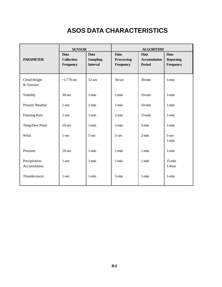# **ASOS DATA CHARACTERISTICS**

| <b>SENSOR</b>                 |                                               | <b>ALGORITHM</b>                                  |                                 |                                                     |                                              |
|-------------------------------|-----------------------------------------------|---------------------------------------------------|---------------------------------|-----------------------------------------------------|----------------------------------------------|
| <b>PARAMETER</b>              | <b>Data</b><br><b>Collection</b><br>Frequency | <b>Data</b><br><b>Sampling</b><br><b>Interval</b> | Data<br>Processing<br>Frequency | <b>Data</b><br><b>Accumulation</b><br><b>Period</b> | <b>Data</b><br><b>Reporting</b><br>Frequency |
| Cloud Height<br>& Amount      | $\sim$ 1/770 sec                              | $12$ -sec                                         | 30-sec                          | 30-min                                              | $1 - min$                                    |
| Visibility                    | $30$ -sec                                     | $1 - min$                                         | $1 - min$                       | $10$ -min                                           | $1 - min$                                    |
| Present Weather               | $1$ -sec                                      | $1 - min$                                         | $1 - min$                       | $10$ -min                                           | $1 - min$                                    |
| Freezing Rain                 | $1 - sec$                                     | $1 - min$                                         | $1 - min$                       | $15 - min$                                          | $1 - min$                                    |
| Temp/Dew Point                | $10$ -sec                                     | $1 - min$                                         | $1 - min$                       | $5 - min$                                           | $1 - min$                                    |
| Wind                          | $1 - sec$                                     | 5-sec                                             | $5 - sec$                       | $2$ -min                                            | 5-sec<br>$1 - min$                           |
| Pressure                      | $10$ -sec                                     | $1 - min$                                         | $1 - min$                       | $1 - min$                                           | $1 - min$                                    |
| Precipitation<br>Accumulation | $1$ -sec                                      | $1 - min$                                         | $1 - min$                       | $1 - min$                                           | $15 - min$<br>1-hour                         |
| Thunderstorm                  | $1$ -sec                                      | $1 - min$                                         | $1 - min$                       | $1 - min$                                           | $1 - min$                                    |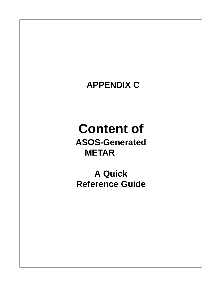# **APPENDIX C**

# **Content of ASOS-Generated METAR**

**A Quick Reference Guide**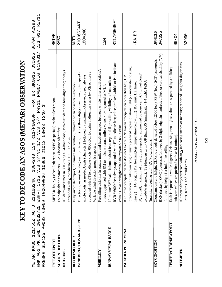KEY TO DECODE AN ASOS (METAR) OBSERVATION **KEY TO DECODE AN ASOS (METAR) OBSERVATION** METAR KABC 121755Z AUTO 21016G24KT 180V240 1SM R11/P6000FT -RA BR BKN015 OVC025 06/04 A2990<br>RMK AO2 PK WND 20032/25 WSHFT 1715 VIS 3/4V1 1/2 VIS 3/4 RWY11 RAB07 CIG 013V017 CIG 017 RWY11<br>PRESFR SLP125 P0003 60009 T00640036 RMK AO2 PK WND 20032/25 WSHFT 1715 VIS 3/4V1 1/2 VIS 3/4 RWY11 RAB07 CIG 013V017 CIG 017 RWY11 METAR KABC 121755Z AUTO 21016G24KT 180V240 1SM R11/P6000FT -RA BR BKN015 OVC025 06/04 A2990 PRESFR SLP125 P0003 60009 T00640036 10066 21012 58033 TSNO \$

| <b>TYPE OF REPORT</b>        | METAR: hourly (scheduled) report; SPEC1: special (unscheduled) report.                                                                                                                  | METAR                 |
|------------------------------|-----------------------------------------------------------------------------------------------------------------------------------------------------------------------------------------|-----------------------|
| <b>STATION IDENTIFIER</b>    | Four alphabetic characters; ICAO location identifier.                                                                                                                                   | KABC                  |
| <b>DATE/TIME</b>             | All dates and times in UTC using a 24-hour clock; two-digit date and four-digit time; always<br>appended with Z to indicate UTC. 121755Z                                                |                       |
| <b>REPORT MODIFIER</b>       | Fully automated report, no human intervention; removed when observer signed-on.                                                                                                         | <b>AUTO</b>           |
| WIND DIRECTION AND SPEED     | Direction to nearest ten degrees from true north (first three digits); next two digits: speed in<br>whole knots; as needed Gusts (character) followed by maximum observed speed; always | 21016G24KT<br>180V240 |
|                              | appended with KT to indicate knots; 00000KT for calm; if direction varies by 60E or more a                                                                                              |                       |
|                              | Variable wind direction group is reported.                                                                                                                                              |                       |
| VISIBILITY                   | Prevailing visibility in statute miles and fractions (space between whole miles and fractions);                                                                                         |                       |
|                              | always appended with $\underline{\text{SM}}$ to indicate statute miles; values <1/4 reported as M1/4.                                                                                   | <b>NST</b>            |
| RUNWAY VISUAL RANGE          | 10-minute RVR value in hundreds of feet; reported if prevailing visibility is # one mile or                                                                                             |                       |
|                              | RVR # 6000 feet; always appended with FT to indicate feet; value prefixed with M or P to indicate                                                                                       | R11/P6000FT           |
|                              | value is lower or higher than the reportable RVR value.                                                                                                                                 |                       |
| WEATHERPHENOMENA             | RA: liquid precipitation that does not freeze; SN: frozen precipitation other than hail; UP:                                                                                            |                       |
|                              | precipitation of unknown type; intensity prefixed to precipitation: light (-), moderate (no sign),                                                                                      |                       |
|                              | heavy (+); FG: fog; FZFG: freezing fog (temperature below 0EC); BR: mist; HZ: haze;                                                                                                     | -RA BR                |
|                              | SQ: squall; maximum of three groups reported; augmented by observer: FC (funnel cloud/                                                                                                  |                       |
|                              | tornado/waterspout); TS (thunderstorm); GR (hail); GS (small hail; <1/4 inch); FZRA                                                                                                     |                       |
|                              | (intensity; freezing rain); VA (volcanic ash).                                                                                                                                          |                       |
| <b>SKY CONDITION</b>         | height: CLR (no clouds detected below 12000 feet); FEW (few); SCT (scattered);<br>Cloud amount and                                                                                      | BKNO15                |
|                              | BKN (broken); OVC (overcast); followed by 3-digit height in hundreds of feet; or vertical visibility $(YY)$                                                                             | <b>OVC025</b>         |
|                              | followed by height for indefinite ceiling.                                                                                                                                              |                       |
| <b>TEMPERATURE/DEW POINT</b> | Each is reported in whole degrees Celsius using two digits; values are separated by a solidus;                                                                                          |                       |
|                              | sub-zero values are prefixed with an M (minus).                                                                                                                                         | 06/04                 |
| <b>ALTIMETER</b>             | Altimeter always prefixed with an A indicating inches of mercury; reported using four digits: tens,                                                                                     |                       |
|                              | hundredths.<br>units, tenths, and                                                                                                                                                       | A2990                 |

REMARKS ON REVERSE SIDE *REMARKS ON REVERSE SIDE*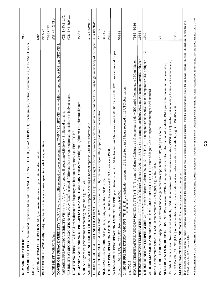| <b>RMK</b><br>REMARKS IDENTIFIER:                                                                                                                                                                                              | <b>RMK</b>                 |
|--------------------------------------------------------------------------------------------------------------------------------------------------------------------------------------------------------------------------------|----------------------------|
| TORNADIC ACTIVITY: Augmented; report should include TORNADO, FUNNEL CLOUD, or WATERSPOUT, time begin/end, location, movement; e.g., TORNADO B25 N                                                                              |                            |
| discriminator.<br>TYPE OF AUTOMATED STATION: AO2; automated station with precipitation<br>MOV E                                                                                                                                | AO <sub>2</sub>            |
|                                                                                                                                                                                                                                |                            |
| PEAK WIND: PK WND dddff(f)/(hh)nnm; direction in tens of degrees, speed in whole knots, and time.                                                                                                                              | PK WND                     |
|                                                                                                                                                                                                                                | 20032/25                   |
| WIND SHIFT: WSHFT (hh)mm                                                                                                                                                                                                       | 1715<br><b>MSHFT</b>       |
| TOWER OR SURFACE VISIBILITY: TWR VIS vvvvv: visibility reported by tower personnel, e.g., TWR VIS 2; SFC VIS vvvvv: visibility reported by ASOS, e.g., SFC VIS 2                                                               |                            |
| prevailing visibility is < 3 miles and variable.<br>VARIABLE PREVAILING VISIBILITY: VIS v v v v v V v v v v v ; reported if                                                                                                    | 1/2<br>3/4V1<br>VIS        |
| VISIBILITY AT SECOND LOCATION: VIS vvvvv [LOC]; reported if different than the reported prevailing visibility in body of report.                                                                                               | $3/4$ RWY11<br>VIS         |
| LIGHTNING: [FREQ] LTG [LOC]; when detected the frequency and location is reported, e.g., FRQ LTG NE                                                                                                                            |                            |
| BEGINNING AND ENDING OF PRECIPITATION AND THUNDERSTORMS: w'w'B(th)mmE(th)mm; TSB(th)mmE(th)mm                                                                                                                                  | RAB07                      |
| VIRGA: Augmented; precipitation not reaching the ground, e.g., VIRGA.                                                                                                                                                          |                            |
| VARIABLE CEILING HEIGHT: CIGhhh Vhhh; reported if ceiling in body of report is <3000 feet and variable.                                                                                                                        | 013V017<br>C <sub>TC</sub> |
| CEILING HEIGHT AT SECOND LOCATION. CIG hhh [LOC]; Ceiling height reported if secondary ceilometer site is different than the ceiling height in the body of the report.                                                         | 017RWY11<br>CIG            |
| PRESSURE RISING OR FALLING RAPIDLY: PRESRR or PRESFR; pressure rising or falling rapidly at time of observation.                                                                                                               | PRESFR                     |
| SEA-LEVEL PRESSURE: SLPppp; tens, units, and tenths of SLP in hPa.                                                                                                                                                             | SLP125                     |
| a trace is P0000.<br><b>HOURLY PRECIPITATION AMOUNT:</b> Prrrr; in .01 inches since last METAR;                                                                                                                                | <b>P0003</b>               |
| in .01 inches for past 6 hours reported in 00, 06, 12, and 18 UTC observations and for past<br>3- AND 6-HOUR PRECIPITATION AMOUNT: 6RRRR; precipitation amount                                                                 |                            |
| 3 hours in 03, 09, 15, and 21 UTC observations; a trace is 60000.                                                                                                                                                              | 60009                      |
| <b>24-HOUR PRECIPITATION AMOUNT</b> : 7R R R R Terecipitation amount in .01 inches for past 24 hours reported in 12 UTC observation,                                                                                           |                            |
| e.g., 70015.                                                                                                                                                                                                                   |                            |
| degree Celsius; s : 1 if temperature below OEC and 0 if temperature OEC or higher.<br>HOURLY TEMPERATURE AND DEW POINT: Ts TTT s T'T' T'; tenth of                                                                             | T00640036                  |
| 6-HOUR MAXIMUM TEMPERATURE: 1s T T , tenth of degree Celsius; 00, 06, 12, 18 UTC; s : 1 if temperature below 0EC and 0 if temperature 0EC or higher.                                                                           | 10066                      |
| $\mathbf{C}$<br>6-HOUR MINIMUM TEMPERATURE: 2s T T T; tenth of degree Celsius; 00, 06, 12, 18 UTC; s : 1 if temperature below 0EC and 0 if temperature 0EC or higher.                                                          | 1012                       |
| ; tenth of degree Celsius; reported at midnight local standard<br>006.<br>24-HOUR MAXIMUM AND MINIMUM TEMPERATURE: 4s T T T s T T T<br>time; 1 if temperature below OEC and 0 if temperature OEC or higher, e.g., $400461$     |                            |
| <b>PRESSURE TENDENCY</b> : Sappy; the character (a) and change in pressure (ppp; tenths of hPa) the past 3 hours.                                                                                                              | 58033                      |
| SENSOR STATUS INDICATORS: RVRNO: RVR missing; PWINO: precipitation identifier information not available; PNO: precipitation amount not available;                                                                              |                            |
| FZRANO: freezing rain information not available; TSNO: thunderstorm information not available; VISNO [LOC]; visibility at secondary location not available, e.g.,                                                              |                            |
| VISNO RWY06; CHINO [LOC]: (cloud-height-indicator) sky condition at secondary location not available, e.g., CHINO RWY06.                                                                                                       | TSNO                       |
| MAINTENANCE CHECK INDICATOR: Maintenance needed on the system.                                                                                                                                                                 |                            |
| If an element or phenomena does not occur, is missing, or cannot be observed, the corresponding group and space are omitted (body and/or remarks) from that particular report, except for Sea-Level Pressure (SLPpp). SLPNO sh |                            |

U.S. DEPARTMENT OF COMMERCE - NATIONAL OCEANIC AND ATMOSPHERIC ADMINISTRATION - National Weather Service - Observing Systems Branch, 1325 East-West Highway, Silver Spring, Maryland 20910 METAR\TA2\3-18-97 U.S. DEPARTMERCE - NATIONAL OCEANIC AND ATMOSPHERIC ADMINISTRATION - National Weather Service - Observing Systems Branch, 1325 East-West Highway, Silver Spring, Maryland 20910 METAR\17A2\3-18-97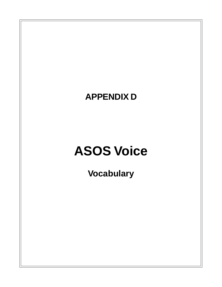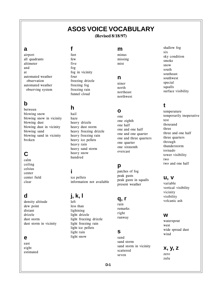# **ASOS VOICE VOCABULARY**

(Revised 8/18/97)

### **a**

airport all quadrants altimeter and at automated weather observation automated weather observing system

# **b**

between blowing snow blowing snow in vicinity blowing dust blowing dust in vicinity blowing sand blowing sand in vicinity broken

# **C**

calm ceiling celsius center center field clear

# **d**

density altitude dew point distant drizzle dust storm dust storm in vicinity

### **e**

east eight estimated

### **f**

feet few five fog fog in vicinity four freezing drizzle freezing fog freezing rain funnel cloud

# **h**

hail haze heavy drizzle heavy dust storm heavy freezing drizzle heavy freezing rain heavy ice pellets heavy rain heavy sand storm heavy snow hundred

### **i**

ice pellets information not available

# **j, k, l**

left less than lightning light drizzle light freezing drizzle light freezing rain light ice pellets light rain light snow

### **m**

minus missing mist

### **n**

niner north northeast northwest

## **o**

one one eighth one half one and one half one and one quarter one and three quarters one quarter one sixteenth overcast

## **p**

patches of fog peak gusts peak gusts in squalls present weather

### **q, r**

rain remarks right runway

### **s**

sand sand storm sand storm in vicinity scattered seven

shallow fog six sky condition smoke snow south southeast southwest special squalls surface visibility

## **t**

temperature temporarily inoperative test thousand three three and one half three quarters through thunderstorm tornado tower visibility two two and one half

### **u, v**

variable vertical visibility vicinity visibility volcanic ash

### **w**

waterspout west wide spread dust wind

**x, y, z** zero zulu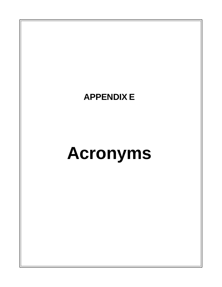